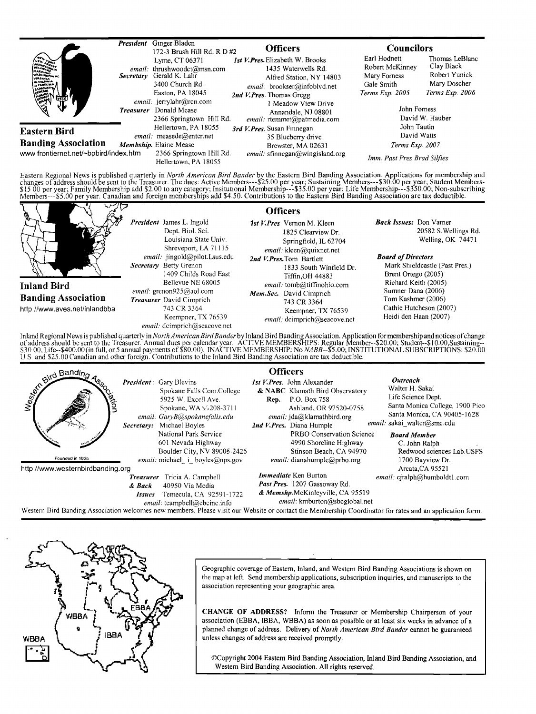

Eastern Regional News is published quarterly in *North American Bird Bander* by the Eastern Bird Banding Association. Applications for membership and<br>changes of address should be sent to the Treasurer. The dues: Active Mem



**Inland Bird Banding Association http//www.aves.net/inlandbba** 

**President James L. lngoId Dept. Biol. Sci. Louisiana State Univ. Shreveport, LA 71115**  email: jingold@pilot.Lsus.edu **Secretary Betty Grenon I409 Childs Road East Bellevue NE 68005**  email: grenon925@aol.com **Treasurer David Cimprich 743 CR 3364 Keempner, TX 76539** 

 $email:$  dcimprich@seacove.net

## **Officers**

**1st V. Pres Vernon M. Kleen 1825 Clearview Dr. Springfield, IL 62704**   $email:$  kleen@quixnet.net 2nd V.Pres. Tom Bartlett **1833 South Winfield Dr. Tiffin,OH 44883**   $email:$  tomb@tiffinohio.com **Mem. Sec. David Cimprich 743 CR 3364 Keempner, TX 76539**  *email:* dcimprich@seacove.net

**Back Issues: Don Vamer 20582 S.Wellings Rd. Welling, OK 74471** 

### **Board of Directors**

**Mark Shieldcastle (Past Pres.)**  Brent Ortego (2005) **Richard Keith (2005) Sumner Dana (2006) Tom Kashmer (2006) Cathie Hutcheson (2007) Heidi den Haan (2007)** 

Inland Regional News is published quarterly in *North American Bird Bander* by Inland Bird Banding Association. Application for membership and notices of change<br>of address should be sent to the Treasurer. Annual dues per c **U S and \$25.00Canadian and other foreign. Contributions to the Inland Bird Banding Association are tax deductible.** 



**Western Bird Banding Association welcomes new members. Please visit our Website or contact the Membership Coordinator for rates and an application form.** 



**Geographic coverage of Eastern, Inland, and Western Bird Banding Associations is shown on the map at left. Send membership aplications, subscription inquiries, and manuscripts to the association representing your geographic area.** 

**CHANGE OF ADDRESS? Inform the Treasurer or Membership Chairperson of your association (EBBA, IBBA, WBBA) as soon as possible or at least six weeks in advance of a planned change of address. Delivery of North American Bird Bander cannot be guaranteed unless changes of address are received promptly.** 

**¸Copyright 2004 Eastern Bird Banding Association, Inland Bird Banding Association, and Western Bird Banding Association. All rights reserved.**